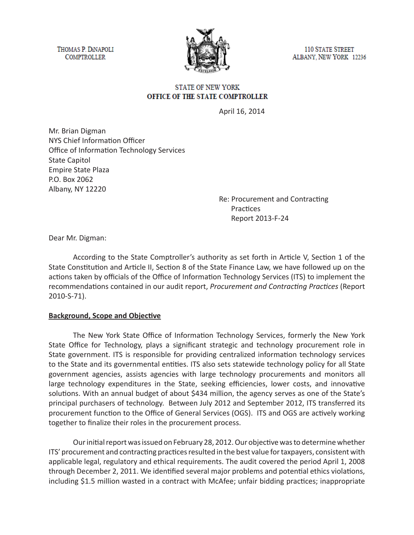THOMAS P. DINAPOLI **COMPTROLLER** 



**110 STATE STREET** ALBANY, NEW YORK 12236

### **STATE OF NEW YORK** OFFICE OF THE STATE COMPTROLLER

April 16, 2014

Mr. Brian Digman NYS Chief Information Officer Office of Information Technology Services State Capitol Empire State Plaza P.O. Box 2062 Albany, NY 12220

> Re: Procurement and Contracting Practices Report 2013-F-24

Dear Mr. Digman:

According to the State Comptroller's authority as set forth in Article V, Section 1 of the State Constitution and Article II, Section 8 of the State Finance Law, we have followed up on the actions taken by officials of the Office of Information Technology Services (ITS) to implement the recommendations contained in our audit report, *Procurement and Contracting Practices* (Report 2010-S-71).

#### **Background, Scope and Objective**

The New York State Office of Information Technology Services, formerly the New York State Office for Technology, plays a significant strategic and technology procurement role in State government. ITS is responsible for providing centralized information technology services to the State and its governmental entities. ITS also sets statewide technology policy for all State government agencies, assists agencies with large technology procurements and monitors all large technology expenditures in the State, seeking efficiencies, lower costs, and innovative solutions. With an annual budget of about \$434 million, the agency serves as one of the State's principal purchasers of technology. Between July 2012 and September 2012, ITS transferred its procurement function to the Office of General Services (OGS). ITS and OGS are actively working together to finalize their roles in the procurement process.

Our initial report was issued on February 28, 2012. Our objective was to determine whether ITS' procurement and contracting practices resulted in the best value for taxpayers, consistent with applicable legal, regulatory and ethical requirements. The audit covered the period April 1, 2008 through December 2, 2011. We identified several major problems and potential ethics violations, including \$1.5 million wasted in a contract with McAfee; unfair bidding practices; inappropriate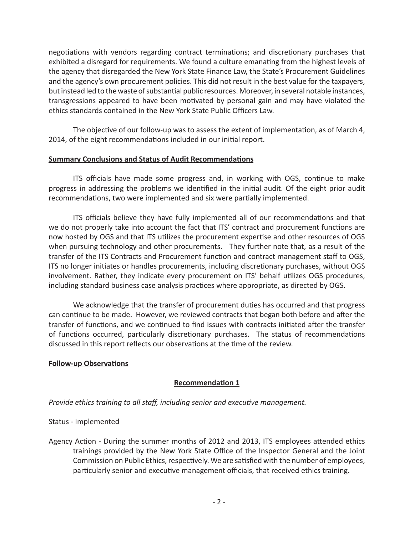negotiations with vendors regarding contract terminations; and discretionary purchases that exhibited a disregard for requirements. We found a culture emanating from the highest levels of the agency that disregarded the New York State Finance Law, the State's Procurement Guidelines and the agency's own procurement policies. This did not result in the best value for the taxpayers, but instead led to the waste of substantial public resources. Moreover, in several notable instances, transgressions appeared to have been motivated by personal gain and may have violated the ethics standards contained in the New York State Public Officers Law.

The objective of our follow-up was to assess the extent of implementation, as of March 4, 2014, of the eight recommendations included in our initial report.

### **Summary Conclusions and Status of Audit Recommendations**

ITS officials have made some progress and, in working with OGS, continue to make progress in addressing the problems we identified in the initial audit. Of the eight prior audit recommendations, two were implemented and six were partially implemented.

ITS officials believe they have fully implemented all of our recommendations and that we do not properly take into account the fact that ITS' contract and procurement functions are now hosted by OGS and that ITS utilizes the procurement expertise and other resources of OGS when pursuing technology and other procurements. They further note that, as a result of the transfer of the ITS Contracts and Procurement function and contract management staff to OGS, ITS no longer initiates or handles procurements, including discretionary purchases, without OGS involvement. Rather, they indicate every procurement on ITS' behalf utilizes OGS procedures, including standard business case analysis practices where appropriate, as directed by OGS.

We acknowledge that the transfer of procurement duties has occurred and that progress can continue to be made. However, we reviewed contracts that began both before and after the transfer of functions, and we continued to find issues with contracts initiated after the transfer of functions occurred, particularly discretionary purchases. The status of recommendations discussed in this report reflects our observations at the time of the review.

# **Follow-up Observations**

# **Recommendation 1**

*Provide ethics training to all staff, including senior and executive management.*

Status - Implemented

Agency Action - During the summer months of 2012 and 2013, ITS employees attended ethics trainings provided by the New York State Office of the Inspector General and the Joint Commission on Public Ethics, respectively. We are satisfied with the number of employees, particularly senior and executive management officials, that received ethics training.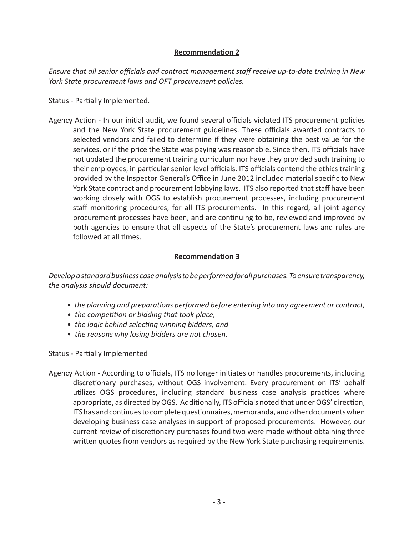# **Recommendation 2**

*Ensure that all senior officials and contract management staff receive up-to-date training in New York State procurement laws and OFT procurement policies.*

Status - Partially Implemented.

Agency Action - In our initial audit, we found several officials violated ITS procurement policies and the New York State procurement guidelines. These officials awarded contracts to selected vendors and failed to determine if they were obtaining the best value for the services, or if the price the State was paying was reasonable. Since then, ITS officials have not updated the procurement training curriculum nor have they provided such training to their employees, in particular senior level officials. ITS officials contend the ethics training provided by the Inspector General's Office in June 2012 included material specific to New York State contract and procurement lobbying laws. ITS also reported that staff have been working closely with OGS to establish procurement processes, including procurement staff monitoring procedures, for all ITS procurements. In this regard, all joint agency procurement processes have been, and are continuing to be, reviewed and improved by both agencies to ensure that all aspects of the State's procurement laws and rules are followed at all times.

# **Recommendation 3**

*Develop a standard business case analysis to be performed for all purchases. To ensure transparency, the analysis should document:*

- *the planning and preparations performed before entering into any agreement or contract,*
- *the competition or bidding that took place,*
- *the logic behind selecting winning bidders, and*
- *the reasons why losing bidders are not chosen.*

Status - Partially Implemented

Agency Action - According to officials, ITS no longer initiates or handles procurements, including discretionary purchases, without OGS involvement. Every procurement on ITS' behalf utilizes OGS procedures, including standard business case analysis practices where appropriate, as directed by OGS. Additionally, ITS officials noted that under OGS' direction, ITS has and continues to complete questionnaires, memoranda, and other documents when developing business case analyses in support of proposed procurements. However, our current review of discretionary purchases found two were made without obtaining three written quotes from vendors as required by the New York State purchasing requirements.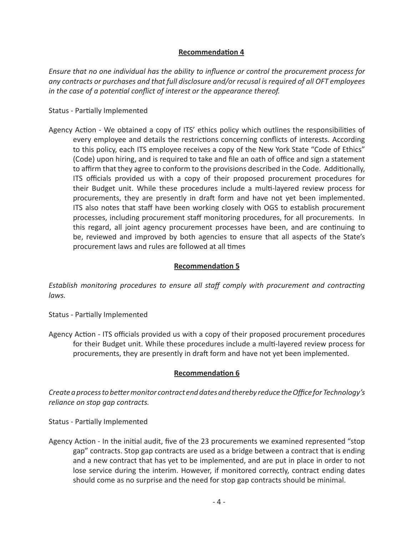# **Recommendation 4**

*Ensure that no one individual has the ability to influence or control the procurement process for any contracts or purchases and that full disclosure and/or recusal is required of all OFT employees in the case of a potential conflict of interest or the appearance thereof.*

#### Status - Partially Implemented

Agency Action - We obtained a copy of ITS' ethics policy which outlines the responsibilities of every employee and details the restrictions concerning conflicts of interests. According to this policy, each ITS employee receives a copy of the New York State "Code of Ethics" (Code) upon hiring, and is required to take and file an oath of office and sign a statement to affirm that they agree to conform to the provisions described in the Code. Additionally, ITS officials provided us with a copy of their proposed procurement procedures for their Budget unit. While these procedures include a multi-layered review process for procurements, they are presently in draft form and have not yet been implemented. ITS also notes that staff have been working closely with OGS to establish procurement processes, including procurement staff monitoring procedures, for all procurements. In this regard, all joint agency procurement processes have been, and are continuing to be, reviewed and improved by both agencies to ensure that all aspects of the State's procurement laws and rules are followed at all times

## **Recommendation 5**

*Establish monitoring procedures to ensure all staff comply with procurement and contracting laws.*

Status - Partially Implemented

Agency Action - ITS officials provided us with a copy of their proposed procurement procedures for their Budget unit. While these procedures include a multi-layered review process for procurements, they are presently in draft form and have not yet been implemented.

#### **Recommendation 6**

*Create a process to better monitor contract end dates and thereby reduce the Office for Technology's reliance on stop gap contracts.*

Status - Partially Implemented

Agency Action - In the initial audit, five of the 23 procurements we examined represented "stop gap" contracts. Stop gap contracts are used as a bridge between a contract that is ending and a new contract that has yet to be implemented, and are put in place in order to not lose service during the interim. However, if monitored correctly, contract ending dates should come as no surprise and the need for stop gap contracts should be minimal.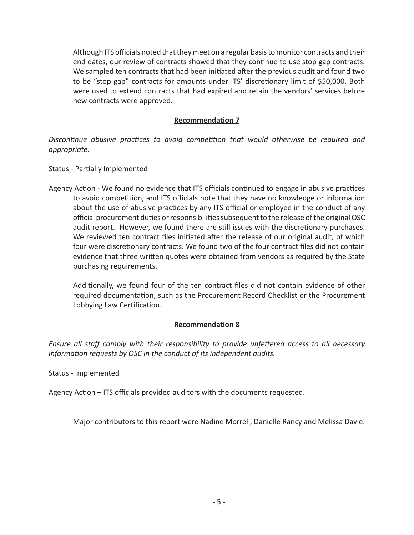Although ITS officials noted that they meet on a regular basis to monitor contracts and their end dates, our review of contracts showed that they continue to use stop gap contracts. We sampled ten contracts that had been initiated after the previous audit and found two to be "stop gap" contracts for amounts under ITS' discretionary limit of \$50,000. Both were used to extend contracts that had expired and retain the vendors' services before new contracts were approved.

## **Recommendation 7**

*Discontinue abusive practices to avoid competition that would otherwise be required and appropriate.*

Status - Partially Implemented

Agency Action - We found no evidence that ITS officials continued to engage in abusive practices to avoid competition, and ITS officials note that they have no knowledge or information about the use of abusive practices by any ITS official or employee in the conduct of any official procurement duties or responsibilities subsequent to the release of the original OSC audit report. However, we found there are still issues with the discretionary purchases. We reviewed ten contract files initiated after the release of our original audit, of which four were discretionary contracts. We found two of the four contract files did not contain evidence that three written quotes were obtained from vendors as required by the State purchasing requirements.

Additionally, we found four of the ten contract files did not contain evidence of other required documentation, such as the Procurement Record Checklist or the Procurement Lobbying Law Certification.

# **Recommendation 8**

*Ensure all staff comply with their responsibility to provide unfettered access to all necessary information requests by OSC in the conduct of its independent audits.*

Status - Implemented

Agency Action – ITS officials provided auditors with the documents requested.

Major contributors to this report were Nadine Morrell, Danielle Rancy and Melissa Davie.